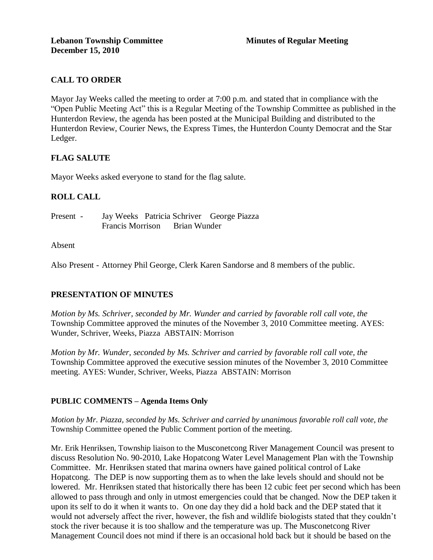# **CALL TO ORDER**

Mayor Jay Weeks called the meeting to order at 7:00 p.m. and stated that in compliance with the "Open Public Meeting Act" this is a Regular Meeting of the Township Committee as published in the Hunterdon Review, the agenda has been posted at the Municipal Building and distributed to the Hunterdon Review, Courier News, the Express Times, the Hunterdon County Democrat and the Star Ledger.

# **FLAG SALUTE**

Mayor Weeks asked everyone to stand for the flag salute.

# **ROLL CALL**

Present - Jay Weeks Patricia Schriver George Piazza Francis Morrison Brian Wunder

### Absent

Also Present - Attorney Phil George, Clerk Karen Sandorse and 8 members of the public.

# **PRESENTATION OF MINUTES**

*Motion by Ms. Schriver, seconded by Mr. Wunder and carried by favorable roll call vote, the* Township Committee approved the minutes of the November 3, 2010 Committee meeting. AYES: Wunder, Schriver, Weeks, Piazza ABSTAIN: Morrison

*Motion by Mr. Wunder, seconded by Ms. Schriver and carried by favorable roll call vote, the* Township Committee approved the executive session minutes of the November 3, 2010 Committee meeting. AYES: Wunder, Schriver, Weeks, Piazza ABSTAIN: Morrison

### **PUBLIC COMMENTS – Agenda Items Only**

*Motion by Mr. Piazza, seconded by Ms. Schriver and carried by unanimous favorable roll call vote, the* Township Committee opened the Public Comment portion of the meeting.

Mr. Erik Henriksen, Township liaison to the Musconetcong River Management Council was present to discuss Resolution No. 90-2010, Lake Hopatcong Water Level Management Plan with the Township Committee. Mr. Henriksen stated that marina owners have gained political control of Lake Hopatcong. The DEP is now supporting them as to when the lake levels should and should not be lowered. Mr. Henriksen stated that historically there has been 12 cubic feet per second which has been allowed to pass through and only in utmost emergencies could that be changed. Now the DEP taken it upon its self to do it when it wants to. On one day they did a hold back and the DEP stated that it would not adversely affect the river, however, the fish and wildlife biologists stated that they couldn't stock the river because it is too shallow and the temperature was up. The Musconetcong River Management Council does not mind if there is an occasional hold back but it should be based on the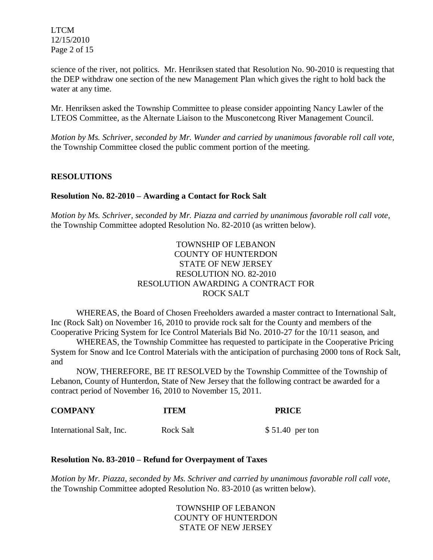LTCM 12/15/2010 Page 2 of 15

science of the river, not politics. Mr. Henriksen stated that Resolution No. 90-2010 is requesting that the DEP withdraw one section of the new Management Plan which gives the right to hold back the water at any time.

Mr. Henriksen asked the Township Committee to please consider appointing Nancy Lawler of the LTEOS Committee, as the Alternate Liaison to the Musconetcong River Management Council.

*Motion by Ms. Schriver, seconded by Mr. Wunder and carried by unanimous favorable roll call vote,* the Township Committee closed the public comment portion of the meeting.

# **RESOLUTIONS**

### **Resolution No. 82-2010 – Awarding a Contact for Rock Salt**

*Motion by Ms. Schriver, seconded by Mr. Piazza and carried by unanimous favorable roll call vote,* the Township Committee adopted Resolution No. 82-2010 (as written below).

# TOWNSHIP OF LEBANON COUNTY OF HUNTERDON STATE OF NEW JERSEY RESOLUTION NO. 82-2010 RESOLUTION AWARDING A CONTRACT FOR ROCK SALT

WHEREAS, the Board of Chosen Freeholders awarded a master contract to International Salt, Inc (Rock Salt) on November 16, 2010 to provide rock salt for the County and members of the Cooperative Pricing System for Ice Control Materials Bid No. 2010-27 for the 10/11 season, and

WHEREAS, the Township Committee has requested to participate in the Cooperative Pricing System for Snow and Ice Control Materials with the anticipation of purchasing 2000 tons of Rock Salt, and

NOW, THEREFORE, BE IT RESOLVED by the Township Committee of the Township of Lebanon, County of Hunterdon, State of New Jersey that the following contract be awarded for a contract period of November 16, 2010 to November 15, 2011.

| <b>COMPANY</b>           | <b>ITEM</b>      | <b>PRICE</b>     |
|--------------------------|------------------|------------------|
| International Salt, Inc. | <b>Rock Salt</b> | $$51.40$ per ton |

### **Resolution No. 83-2010 – Refund for Overpayment of Taxes**

*Motion by Mr. Piazza, seconded by Ms. Schriver and carried by unanimous favorable roll call vote,* the Township Committee adopted Resolution No. 83-2010 (as written below).

> TOWNSHIP OF LEBANON COUNTY OF HUNTERDON STATE OF NEW JERSEY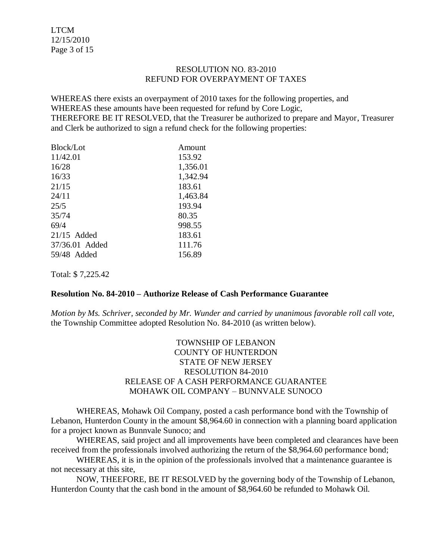LTCM 12/15/2010 Page 3 of 15

#### RESOLUTION NO. 83-2010 REFUND FOR OVERPAYMENT OF TAXES

WHEREAS there exists an overpayment of 2010 taxes for the following properties, and WHEREAS these amounts have been requested for refund by Core Logic, THEREFORE BE IT RESOLVED, that the Treasurer be authorized to prepare and Mayor, Treasurer and Clerk be authorized to sign a refund check for the following properties:

| Block/Lot      | Amount   |
|----------------|----------|
| 11/42.01       | 153.92   |
| 16/28          | 1,356.01 |
| 16/33          | 1,342.94 |
| 21/15          | 183.61   |
| 24/11          | 1,463.84 |
| 25/5           | 193.94   |
| 35/74          | 80.35    |
| 69/4           | 998.55   |
| $21/15$ Added  | 183.61   |
| 37/36.01 Added | 111.76   |
| 59/48 Added    | 156.89   |
|                |          |

Total: \$ 7,225.42

### **Resolution No. 84-2010 – Authorize Release of Cash Performance Guarantee**

*Motion by Ms. Schriver, seconded by Mr. Wunder and carried by unanimous favorable roll call vote,* the Township Committee adopted Resolution No. 84-2010 (as written below).

# TOWNSHIP OF LEBANON COUNTY OF HUNTERDON STATE OF NEW JERSEY RESOLUTION 84-2010 RELEASE OF A CASH PERFORMANCE GUARANTEE MOHAWK OIL COMPANY – BUNNVALE SUNOCO

WHEREAS, Mohawk Oil Company, posted a cash performance bond with the Township of Lebanon, Hunterdon County in the amount \$8,964.60 in connection with a planning board application for a project known as Bunnvale Sunoco; and

WHEREAS, said project and all improvements have been completed and clearances have been received from the professionals involved authorizing the return of the \$8,964.60 performance bond;

WHEREAS, it is in the opinion of the professionals involved that a maintenance guarantee is not necessary at this site,

NOW, THEEFORE, BE IT RESOLVED by the governing body of the Township of Lebanon, Hunterdon County that the cash bond in the amount of \$8,964.60 be refunded to Mohawk Oil.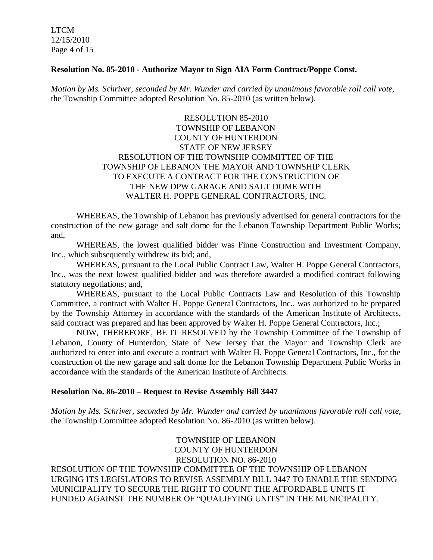LTCM 12/15/2010 Page 4 of 15

#### **Resolution No. 85-2010 - Authorize Mayor to Sign AIA Form Contract/Poppe Const.**

*Motion by Ms. Schriver, seconded by Mr. Wunder and carried by unanimous favorable roll call vote,* the Township Committee adopted Resolution No. 85-2010 (as written below).

# RESOLUTION 85-2010 TOWNSHIP OF LEBANON COUNTY OF HUNTERDON STATE OF NEW JERSEY RESOLUTION OF THE TOWNSHIP COMMITTEE OF THE TOWNSHIP OF LEBANON THE MAYOR AND TOWNSHIP CLERK TO EXECUTE A CONTRACT FOR THE CONSTRUCTION OF THE NEW DPW GARAGE AND SALT DOME WITH WALTER H. POPPE GENERAL CONTRACTORS, INC.

WHEREAS, the Township of Lebanon has previously advertised for general contractors for the construction of the new garage and salt dome for the Lebanon Township Department Public Works; and,

WHEREAS, the lowest qualified bidder was Finne Construction and Investment Company, Inc., which subsequently withdrew its bid; and,

WHEREAS, pursuant to the Local Public Contract Law, Walter H. Poppe General Contractors, Inc., was the next lowest qualified bidder and was therefore awarded a modified contract following statutory negotiations; and,

WHEREAS, pursuant to the Local Public Contracts Law and Resolution of this Township Committee, a contract with Walter H. Poppe General Contractors, Inc., was authorized to be prepared by the Township Attorney in accordance with the standards of the American Institute of Architects, said contract was prepared and has been approved by Walter H. Poppe General Contractors, Inc.;

NOW, THEREFORE, BE IT RESOLVED by the Township Committee of the Township of Lebanon, County of Hunterdon, State of New Jersey that the Mayor and Township Clerk are authorized to enter into and execute a contract with Walter H. Poppe General Contractors, Inc., for the construction of the new garage and salt dome for the Lebanon Township Department Public Works in accordance with the standards of the American Institute of Architects.

#### **Resolution No. 86-2010 – Request to Revise Assembly Bill 3447**

*Motion by Ms. Schriver, seconded by Mr. Wunder and carried by unanimous favorable roll call vote,* the Township Committee adopted Resolution No. 86-2010 (as written below).

TOWNSHIP OF LEBANON COUNTY OF HUNTERDON RESOLUTION NO. 86-2010 RESOLUTION OF THE TOWNSHIP COMMITTEE OF THE TOWNSHIP OF LEBANON URGING ITS LEGISLATORS TO REVISE ASSEMBLY BILL 3447 TO ENABLE THE SENDING MUNICIPALITY TO SECURE THE RIGHT TO COUNT THE AFFORDABLE UNITS IT FUNDED AGAINST THE NUMBER OF "QUALIFYING UNITS" IN THE MUNICIPALITY.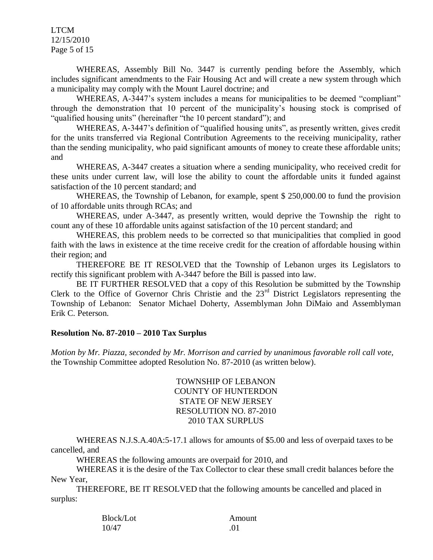LTCM 12/15/2010 Page 5 of 15

WHEREAS, Assembly Bill No. 3447 is currently pending before the Assembly, which includes significant amendments to the Fair Housing Act and will create a new system through which a municipality may comply with the Mount Laurel doctrine; and

WHEREAS, A-3447's system includes a means for municipalities to be deemed "compliant" through the demonstration that 10 percent of the municipality's housing stock is comprised of "qualified housing units" (hereinafter "the 10 percent standard"); and

WHEREAS, A-3447's definition of "qualified housing units", as presently written, gives credit for the units transferred via Regional Contribution Agreements to the receiving municipality, rather than the sending municipality, who paid significant amounts of money to create these affordable units; and

WHEREAS, A-3447 creates a situation where a sending municipality, who received credit for these units under current law, will lose the ability to count the affordable units it funded against satisfaction of the 10 percent standard; and

WHEREAS, the Township of Lebanon, for example, spent \$ 250,000.00 to fund the provision of 10 affordable units through RCAs; and

WHEREAS, under A-3447, as presently written, would deprive the Township the right to count any of these 10 affordable units against satisfaction of the 10 percent standard; and

WHEREAS, this problem needs to be corrected so that municipalities that complied in good faith with the laws in existence at the time receive credit for the creation of affordable housing within their region; and

THEREFORE BE IT RESOLVED that the Township of Lebanon urges its Legislators to rectify this significant problem with A-3447 before the Bill is passed into law.

BE IT FURTHER RESOLVED that a copy of this Resolution be submitted by the Township Clerk to the Office of Governor Chris Christie and the 23<sup>rd</sup> District Legislators representing the Township of Lebanon: Senator Michael Doherty, Assemblyman John DiMaio and Assemblyman Erik C. Peterson.

### **Resolution No. 87-2010 – 2010 Tax Surplus**

*Motion by Mr. Piazza, seconded by Mr. Morrison and carried by unanimous favorable roll call vote,* the Township Committee adopted Resolution No. 87-2010 (as written below).

> TOWNSHIP OF LEBANON COUNTY OF HUNTERDON STATE OF NEW JERSEY RESOLUTION NO. 87-2010 2010 TAX SURPLUS

WHEREAS N.J.S.A.40A:5-17.1 allows for amounts of \$5.00 and less of overpaid taxes to be cancelled, and

WHEREAS the following amounts are overpaid for 2010, and

WHEREAS it is the desire of the Tax Collector to clear these small credit balances before the New Year,

THEREFORE, BE IT RESOLVED that the following amounts be cancelled and placed in surplus:

| Block/Lot | Amount |
|-----------|--------|
| 10/47     | .01    |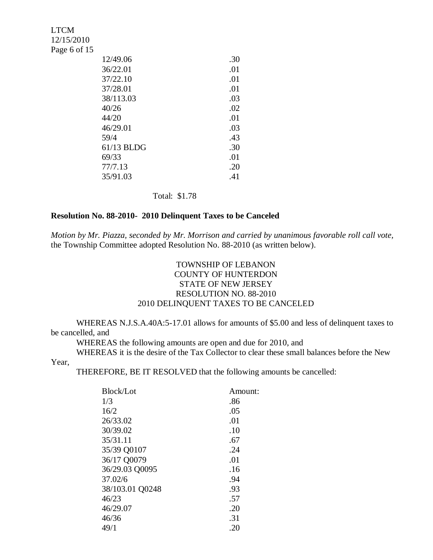| <b>LTCM</b><br>12/15/2010 |            |     |
|---------------------------|------------|-----|
| Page 6 of 15              |            |     |
|                           | 12/49.06   | .30 |
|                           | 36/22.01   | .01 |
|                           | 37/22.10   | .01 |
|                           | 37/28.01   | .01 |
|                           | 38/113.03  | .03 |
|                           | 40/26      | .02 |
|                           | 44/20      | .01 |
|                           | 46/29.01   | .03 |
|                           | 59/4       | .43 |
|                           | 61/13 BLDG | .30 |
|                           | 69/33      | .01 |
|                           | 77/7.13    | .20 |
|                           | 35/91.03   | .41 |
|                           |            |     |

Total: \$1.78

# **Resolution No. 88-2010- 2010 Delinquent Taxes to be Canceled**

*Motion by Mr. Piazza, seconded by Mr. Morrison and carried by unanimous favorable roll call vote,* the Township Committee adopted Resolution No. 88-2010 (as written below).

# TOWNSHIP OF LEBANON COUNTY OF HUNTERDON STATE OF NEW JERSEY RESOLUTION NO. 88-2010 2010 DELINQUENT TAXES TO BE CANCELED

WHEREAS N.J.S.A.40A:5-17.01 allows for amounts of \$5.00 and less of delinquent taxes to be cancelled, and

WHEREAS the following amounts are open and due for 2010, and

WHEREAS it is the desire of the Tax Collector to clear these small balances before the New Year,

THEREFORE, BE IT RESOLVED that the following amounts be cancelled:

| Block/Lot       | Amount: |
|-----------------|---------|
| 1/3             | .86     |
| 16/2            | .05     |
| 26/33.02        | .01     |
| 30/39.02        | .10     |
| 35/31.11        | .67     |
| 35/39 Q0107     | .24     |
| 36/17 Q0079     | .01     |
| 36/29.03 Q0095  | .16     |
| 37.02/6         | .94     |
| 38/103.01 Q0248 | .93     |
| 46/23           | .57     |
| 46/29.07        | .20     |
| 46/36           | .31     |
| 49/1            | .20     |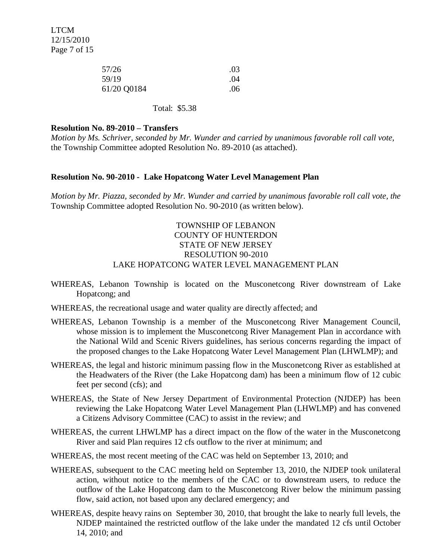LTCM 12/15/2010 Page 7 of 15

| 57/26       | .03 |
|-------------|-----|
| 59/19       | .04 |
| 61/20 Q0184 | .06 |

#### Total: \$5.38

#### **Resolution No. 89-2010 – Transfers**

*Motion by Ms. Schriver, seconded by Mr. Wunder and carried by unanimous favorable roll call vote,* the Township Committee adopted Resolution No. 89-2010 (as attached).

#### **Resolution No. 90-2010 - Lake Hopatcong Water Level Management Plan**

*Motion by Mr. Piazza, seconded by Mr. Wunder and carried by unanimous favorable roll call vote, the* Township Committee adopted Resolution No. 90-2010 (as written below).

# TOWNSHIP OF LEBANON COUNTY OF HUNTERDON STATE OF NEW JERSEY RESOLUTION 90-2010 LAKE HOPATCONG WATER LEVEL MANAGEMENT PLAN

- WHEREAS, Lebanon Township is located on the Musconetcong River downstream of Lake Hopatcong; and
- WHEREAS, the recreational usage and water quality are directly affected; and
- WHEREAS, Lebanon Township is a member of the Musconetcong River Management Council, whose mission is to implement the Musconetcong River Management Plan in accordance with the National Wild and Scenic Rivers guidelines, has serious concerns regarding the impact of the proposed changes to the Lake Hopatcong Water Level Management Plan (LHWLMP); and
- WHEREAS, the legal and historic minimum passing flow in the Musconetcong River as established at the Headwaters of the River (the Lake Hopatcong dam) has been a minimum flow of 12 cubic feet per second (cfs); and
- WHEREAS, the State of New Jersey Department of Environmental Protection (NJDEP) has been reviewing the Lake Hopatcong Water Level Management Plan (LHWLMP) and has convened a Citizens Advisory Committee (CAC) to assist in the review; and
- WHEREAS, the current LHWLMP has a direct impact on the flow of the water in the Musconetcong River and said Plan requires 12 cfs outflow to the river at minimum; and
- WHEREAS, the most recent meeting of the CAC was held on September 13, 2010; and
- WHEREAS, subsequent to the CAC meeting held on September 13, 2010, the NJDEP took unilateral action, without notice to the members of the CAC or to downstream users, to reduce the outflow of the Lake Hopatcong dam to the Musconetcong River below the minimum passing flow, said action, not based upon any declared emergency; and
- WHEREAS, despite heavy rains on September 30, 2010, that brought the lake to nearly full levels, the NJDEP maintained the restricted outflow of the lake under the mandated 12 cfs until October 14, 2010; and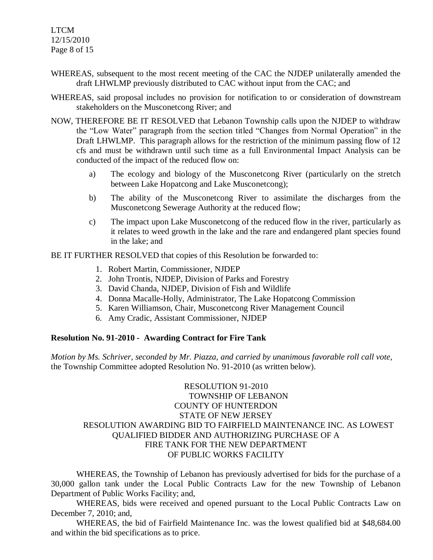LTCM 12/15/2010 Page 8 of 15

- WHEREAS, subsequent to the most recent meeting of the CAC the NJDEP unilaterally amended the draft LHWLMP previously distributed to CAC without input from the CAC; and
- WHEREAS, said proposal includes no provision for notification to or consideration of downstream stakeholders on the Musconetcong River; and
- NOW, THEREFORE BE IT RESOLVED that Lebanon Township calls upon the NJDEP to withdraw the "Low Water" paragraph from the section titled "Changes from Normal Operation" in the Draft LHWLMP. This paragraph allows for the restriction of the minimum passing flow of 12 cfs and must be withdrawn until such time as a full Environmental Impact Analysis can be conducted of the impact of the reduced flow on:
	- a) The ecology and biology of the Musconetcong River (particularly on the stretch between Lake Hopatcong and Lake Musconetcong);
	- b) The ability of the Musconetcong River to assimilate the discharges from the Musconetcong Sewerage Authority at the reduced flow;
	- c) The impact upon Lake Musconetcong of the reduced flow in the river, particularly as it relates to weed growth in the lake and the rare and endangered plant species found in the lake; and

BE IT FURTHER RESOLVED that copies of this Resolution be forwarded to:

- 1. Robert Martin, Commissioner, NJDEP
- 2. John Trontis, NJDEP, Division of Parks and Forestry
- 3. David Chanda, NJDEP, Division of Fish and Wildlife
- 4. Donna Macalle-Holly, Administrator, The Lake Hopatcong Commission
- 5. Karen Williamson, Chair, Musconetcong River Management Council
- 6. Amy Cradic, Assistant Commissioner, NJDEP

#### **Resolution No. 91-2010 - Awarding Contract for Fire Tank**

*Motion by Ms. Schriver, seconded by Mr. Piazza, and carried by unanimous favorable roll call vote,* the Township Committee adopted Resolution No. 91-2010 (as written below).

# RESOLUTION 91-2010 TOWNSHIP OF LEBANON COUNTY OF HUNTERDON STATE OF NEW JERSEY RESOLUTION AWARDING BID TO FAIRFIELD MAINTENANCE INC. AS LOWEST QUALIFIED BIDDER AND AUTHORIZING PURCHASE OF A FIRE TANK FOR THE NEW DEPARTMENT OF PUBLIC WORKS FACILITY

WHEREAS, the Township of Lebanon has previously advertised for bids for the purchase of a 30,000 gallon tank under the Local Public Contracts Law for the new Township of Lebanon Department of Public Works Facility; and,

WHEREAS, bids were received and opened pursuant to the Local Public Contracts Law on December 7, 2010; and,

WHEREAS, the bid of Fairfield Maintenance Inc. was the lowest qualified bid at \$48,684.00 and within the bid specifications as to price.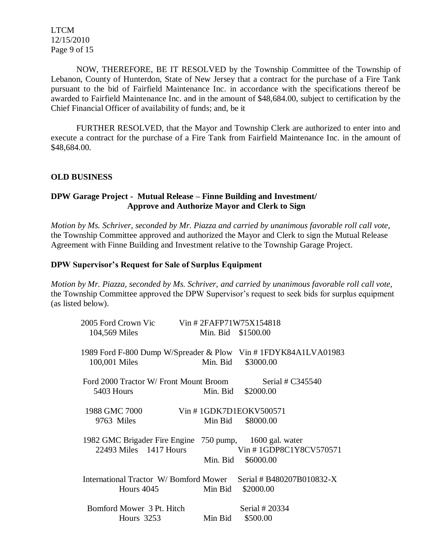LTCM 12/15/2010 Page 9 of 15

NOW, THEREFORE, BE IT RESOLVED by the Township Committee of the Township of Lebanon, County of Hunterdon, State of New Jersey that a contract for the purchase of a Fire Tank pursuant to the bid of Fairfield Maintenance Inc. in accordance with the specifications thereof be awarded to Fairfield Maintenance Inc. and in the amount of \$48,684.00, subject to certification by the Chief Financial Officer of availability of funds; and, be it

FURTHER RESOLVED, that the Mayor and Township Clerk are authorized to enter into and execute a contract for the purchase of a Fire Tank from Fairfield Maintenance Inc. in the amount of \$48,684.00.

### **OLD BUSINESS**

# **DPW Garage Project - Mutual Release – Finne Building and Investment/ Approve and Authorize Mayor and Clerk to Sign**

*Motion by Ms. Schriver, seconded by Mr. Piazza and carried by unanimous favorable roll call vote,* the Township Committee approved and authorized the Mayor and Clerk to sign the Mutual Release Agreement with Finne Building and Investment relative to the Township Garage Project.

#### **DPW Supervisor's Request for Sale of Surplus Equipment**

*Motion by Mr. Piazza, seconded by Ms. Schriver, and carried by unanimous favorable roll call vote,* the Township Committee approved the DPW Supervisor's request to seek bids for surplus equipment (as listed below).

| 2005 Ford Crown Vic Vin # 2FAFP71W75X154818                                           |                    |                                        |
|---------------------------------------------------------------------------------------|--------------------|----------------------------------------|
| 104,569 Miles                                                                         | Min. Bid \$1500.00 |                                        |
| 1989 Ford F-800 Dump W/Spreader & Plow Vin # 1FDYK84A1LVA01983<br>100,001 Miles       | Min. Bid           | \$3000.00                              |
| Ford 2000 Tractor W/ Front Mount Broom<br>5403 Hours                                  |                    | Serial # C345540<br>Min. Bid \$2000.00 |
| 1988 GMC 7000<br>9763 Miles                                                           | Min Bid            | Vin #1GDK7D1EOKV500571<br>\$8000.00    |
| 1982 GMC Brigader Fire Engine 750 pump, 1600 gal. water<br>22493 Miles 1417 Hours     | Min. Bid           | Vin #1GDP8C1Y8CV570571<br>\$6000.00    |
| International Tractor W/Bomford Mower Serial # B480207B010832-X<br>Hours 4045 Min Bid |                    | \$2000.00                              |
| Bomford Mower 3 Pt. Hitch<br>Hours $3253$                                             | Min Bid            | Serial # 20334<br>\$500.00             |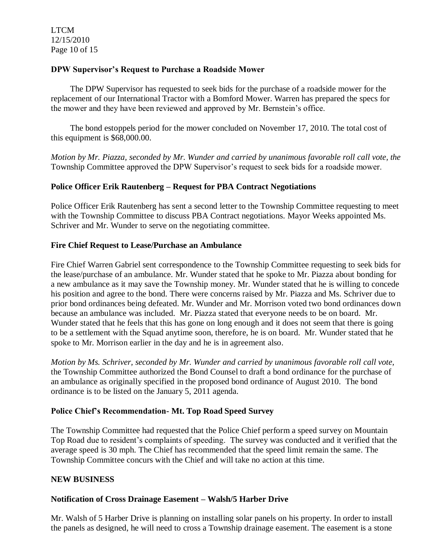LTCM 12/15/2010 Page 10 of 15

## **DPW Supervisor's Request to Purchase a Roadside Mower**

 The DPW Supervisor has requested to seek bids for the purchase of a roadside mower for the replacement of our International Tractor with a Bomford Mower. Warren has prepared the specs for the mower and they have been reviewed and approved by Mr. Bernstein's office.

 The bond estoppels period for the mower concluded on November 17, 2010. The total cost of this equipment is \$68,000.00.

*Motion by Mr. Piazza, seconded by Mr. Wunder and carried by unanimous favorable roll call vote, the* Township Committee approved the DPW Supervisor's request to seek bids for a roadside mower.

# **Police Officer Erik Rautenberg – Request for PBA Contract Negotiations**

Police Officer Erik Rautenberg has sent a second letter to the Township Committee requesting to meet with the Township Committee to discuss PBA Contract negotiations. Mayor Weeks appointed Ms. Schriver and Mr. Wunder to serve on the negotiating committee.

# **Fire Chief Request to Lease/Purchase an Ambulance**

Fire Chief Warren Gabriel sent correspondence to the Township Committee requesting to seek bids for the lease/purchase of an ambulance. Mr. Wunder stated that he spoke to Mr. Piazza about bonding for a new ambulance as it may save the Township money. Mr. Wunder stated that he is willing to concede his position and agree to the bond. There were concerns raised by Mr. Piazza and Ms. Schriver due to prior bond ordinances being defeated. Mr. Wunder and Mr. Morrison voted two bond ordinances down because an ambulance was included. Mr. Piazza stated that everyone needs to be on board. Mr. Wunder stated that he feels that this has gone on long enough and it does not seem that there is going to be a settlement with the Squad anytime soon, therefore, he is on board. Mr. Wunder stated that he spoke to Mr. Morrison earlier in the day and he is in agreement also.

*Motion by Ms. Schriver, seconded by Mr. Wunder and carried by unanimous favorable roll call vote,* the Township Committee authorized the Bond Counsel to draft a bond ordinance for the purchase of an ambulance as originally specified in the proposed bond ordinance of August 2010. The bond ordinance is to be listed on the January 5, 2011 agenda.

# **Police Chief's Recommendation- Mt. Top Road Speed Survey**

The Township Committee had requested that the Police Chief perform a speed survey on Mountain Top Road due to resident's complaints of speeding. The survey was conducted and it verified that the average speed is 30 mph. The Chief has recommended that the speed limit remain the same. The Township Committee concurs with the Chief and will take no action at this time.

### **NEW BUSINESS**

### **Notification of Cross Drainage Easement – Walsh/5 Harber Drive**

Mr. Walsh of 5 Harber Drive is planning on installing solar panels on his property. In order to install the panels as designed, he will need to cross a Township drainage easement. The easement is a stone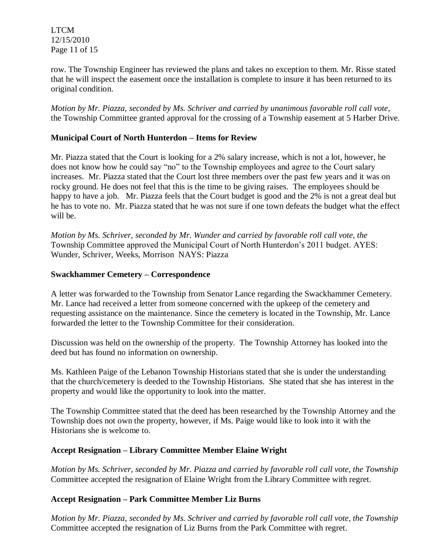LTCM 12/15/2010 Page 11 of 15

row. The Township Engineer has reviewed the plans and takes no exception to them. Mr. Risse stated that he will inspect the easement once the installation is complete to insure it has been returned to its original condition.

*Motion by Mr. Piazza, seconded by Ms. Schriver and carried by unanimous favorable roll call vote,* the Township Committee granted approval for the crossing of a Township easement at 5 Harber Drive.

# **Municipal Court of North Hunterdon – Items for Review**

Mr. Piazza stated that the Court is looking for a 2% salary increase, which is not a lot, however, he does not know how he could say "no" to the Township employees and agree to the Court salary increases. Mr. Piazza stated that the Court lost three members over the past few years and it was on rocky ground. He does not feel that this is the time to be giving raises. The employees should be happy to have a job. Mr. Piazza feels that the Court budget is good and the 2% is not a great deal but he has to vote no. Mr. Piazza stated that he was not sure if one town defeats the budget what the effect will be.

*Motion by Ms. Schriver, seconded by Mr. Wunder and carried by favorable roll call vote, the* Township Committee approved the Municipal Court of North Hunterdon's 2011 budget. AYES: Wunder, Schriver, Weeks, Morrison NAYS: Piazza

### **Swackhammer Cemetery – Correspondence**

A letter was forwarded to the Township from Senator Lance regarding the Swackhammer Cemetery. Mr. Lance had received a letter from someone concerned with the upkeep of the cemetery and requesting assistance on the maintenance. Since the cemetery is located in the Township, Mr. Lance forwarded the letter to the Township Committee for their consideration.

Discussion was held on the ownership of the property. The Township Attorney has looked into the deed but has found no information on ownership.

Ms. Kathleen Paige of the Lebanon Township Historians stated that she is under the understanding that the church/cemetery is deeded to the Township Historians. She stated that she has interest in the property and would like the opportunity to look into the matter.

The Township Committee stated that the deed has been researched by the Township Attorney and the Township does not own the property, however, if Ms. Paige would like to look into it with the Historians she is welcome to.

### **Accept Resignation – Library Committee Member Elaine Wright**

*Motion by Ms. Schriver, seconded by Mr. Piazza and carried by favorable roll call vote, the Township*  Committee accepted the resignation of Elaine Wright from the Library Committee with regret.

# **Accept Resignation – Park Committee Member Liz Burns**

*Motion by Mr. Piazza, seconded by Ms. Schriver and carried by favorable roll call vote, the Township* Committee accepted the resignation of Liz Burns from the Park Committee with regret.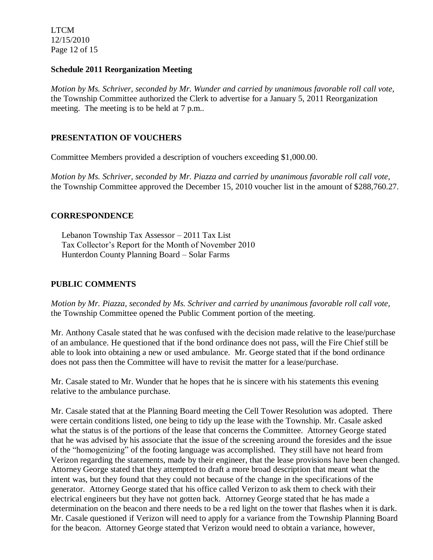LTCM 12/15/2010 Page 12 of 15

### **Schedule 2011 Reorganization Meeting**

*Motion by Ms. Schriver, seconded by Mr. Wunder and carried by unanimous favorable roll call vote,* the Township Committee authorized the Clerk to advertise for a January 5, 2011 Reorganization meeting. The meeting is to be held at 7 p.m..

# **PRESENTATION OF VOUCHERS**

Committee Members provided a description of vouchers exceeding \$1,000.00.

*Motion by Ms. Schriver, seconded by Mr. Piazza and carried by unanimous favorable roll call vote,* the Township Committee approved the December 15, 2010 voucher list in the amount of \$288,760.27.

# **CORRESPONDENCE**

 Lebanon Township Tax Assessor – 2011 Tax List Tax Collector's Report for the Month of November 2010 Hunterdon County Planning Board – Solar Farms

# **PUBLIC COMMENTS**

*Motion by Mr. Piazza, seconded by Ms. Schriver and carried by unanimous favorable roll call vote,* the Township Committee opened the Public Comment portion of the meeting.

Mr. Anthony Casale stated that he was confused with the decision made relative to the lease/purchase of an ambulance. He questioned that if the bond ordinance does not pass, will the Fire Chief still be able to look into obtaining a new or used ambulance. Mr. George stated that if the bond ordinance does not pass then the Committee will have to revisit the matter for a lease/purchase.

Mr. Casale stated to Mr. Wunder that he hopes that he is sincere with his statements this evening relative to the ambulance purchase.

Mr. Casale stated that at the Planning Board meeting the Cell Tower Resolution was adopted. There were certain conditions listed, one being to tidy up the lease with the Township. Mr. Casale asked what the status is of the portions of the lease that concerns the Committee. Attorney George stated that he was advised by his associate that the issue of the screening around the foresides and the issue of the "homogenizing" of the footing language was accomplished. They still have not heard from Verizon regarding the statements, made by their engineer, that the lease provisions have been changed. Attorney George stated that they attempted to draft a more broad description that meant what the intent was, but they found that they could not because of the change in the specifications of the generator. Attorney George stated that his office called Verizon to ask them to check with their electrical engineers but they have not gotten back. Attorney George stated that he has made a determination on the beacon and there needs to be a red light on the tower that flashes when it is dark. Mr. Casale questioned if Verizon will need to apply for a variance from the Township Planning Board for the beacon. Attorney George stated that Verizon would need to obtain a variance, however,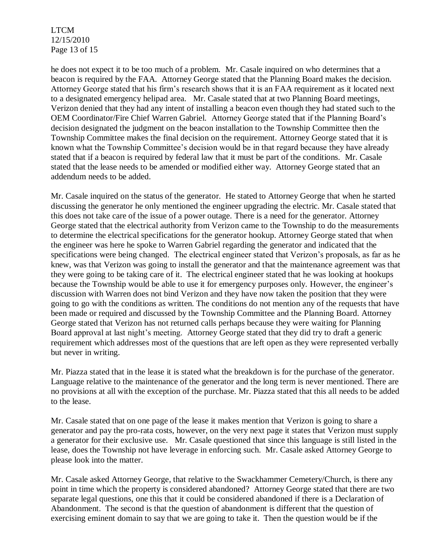LTCM 12/15/2010 Page 13 of 15

he does not expect it to be too much of a problem. Mr. Casale inquired on who determines that a beacon is required by the FAA. Attorney George stated that the Planning Board makes the decision. Attorney George stated that his firm's research shows that it is an FAA requirement as it located next to a designated emergency helipad area. Mr. Casale stated that at two Planning Board meetings, Verizon denied that they had any intent of installing a beacon even though they had stated such to the OEM Coordinator/Fire Chief Warren Gabriel. Attorney George stated that if the Planning Board's decision designated the judgment on the beacon installation to the Township Committee then the Township Committee makes the final decision on the requirement. Attorney George stated that it is known what the Township Committee's decision would be in that regard because they have already stated that if a beacon is required by federal law that it must be part of the conditions. Mr. Casale stated that the lease needs to be amended or modified either way. Attorney George stated that an addendum needs to be added.

Mr. Casale inquired on the status of the generator. He stated to Attorney George that when he started discussing the generator he only mentioned the engineer upgrading the electric. Mr. Casale stated that this does not take care of the issue of a power outage. There is a need for the generator. Attorney George stated that the electrical authority from Verizon came to the Township to do the measurements to determine the electrical specifications for the generator hookup. Attorney George stated that when the engineer was here he spoke to Warren Gabriel regarding the generator and indicated that the specifications were being changed. The electrical engineer stated that Verizon's proposals, as far as he knew, was that Verizon was going to install the generator and that the maintenance agreement was that they were going to be taking care of it. The electrical engineer stated that he was looking at hookups because the Township would be able to use it for emergency purposes only. However, the engineer's discussion with Warren does not bind Verizon and they have now taken the position that they were going to go with the conditions as written. The conditions do not mention any of the requests that have been made or required and discussed by the Township Committee and the Planning Board. Attorney George stated that Verizon has not returned calls perhaps because they were waiting for Planning Board approval at last night's meeting. Attorney George stated that they did try to draft a generic requirement which addresses most of the questions that are left open as they were represented verbally but never in writing.

Mr. Piazza stated that in the lease it is stated what the breakdown is for the purchase of the generator. Language relative to the maintenance of the generator and the long term is never mentioned. There are no provisions at all with the exception of the purchase. Mr. Piazza stated that this all needs to be added to the lease.

Mr. Casale stated that on one page of the lease it makes mention that Verizon is going to share a generator and pay the pro-rata costs, however, on the very next page it states that Verizon must supply a generator for their exclusive use. Mr. Casale questioned that since this language is still listed in the lease, does the Township not have leverage in enforcing such. Mr. Casale asked Attorney George to please look into the matter.

Mr. Casale asked Attorney George, that relative to the Swackhammer Cemetery/Church, is there any point in time which the property is considered abandoned? Attorney George stated that there are two separate legal questions, one this that it could be considered abandoned if there is a Declaration of Abandonment. The second is that the question of abandonment is different that the question of exercising eminent domain to say that we are going to take it. Then the question would be if the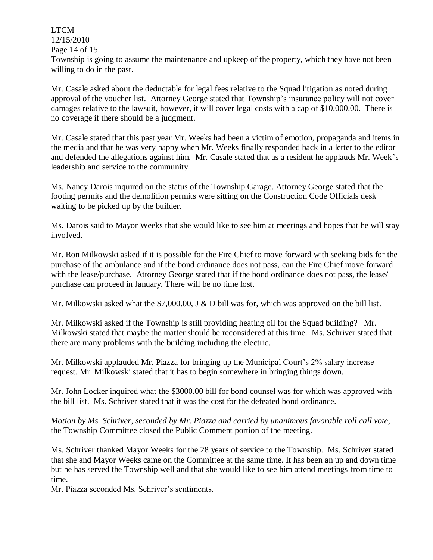LTCM 12/15/2010 Page 14 of 15 Township is going to assume the maintenance and upkeep of the property, which they have not been willing to do in the past.

Mr. Casale asked about the deductable for legal fees relative to the Squad litigation as noted during approval of the voucher list. Attorney George stated that Township's insurance policy will not cover damages relative to the lawsuit, however, it will cover legal costs with a cap of \$10,000.00. There is no coverage if there should be a judgment.

Mr. Casale stated that this past year Mr. Weeks had been a victim of emotion, propaganda and items in the media and that he was very happy when Mr. Weeks finally responded back in a letter to the editor and defended the allegations against him. Mr. Casale stated that as a resident he applauds Mr. Week's leadership and service to the community.

Ms. Nancy Darois inquired on the status of the Township Garage. Attorney George stated that the footing permits and the demolition permits were sitting on the Construction Code Officials desk waiting to be picked up by the builder.

Ms. Darois said to Mayor Weeks that she would like to see him at meetings and hopes that he will stay involved.

Mr. Ron Milkowski asked if it is possible for the Fire Chief to move forward with seeking bids for the purchase of the ambulance and if the bond ordinance does not pass, can the Fire Chief move forward with the lease/purchase. Attorney George stated that if the bond ordinance does not pass, the lease/ purchase can proceed in January. There will be no time lost.

Mr. Milkowski asked what the \$7,000.00, J & D bill was for, which was approved on the bill list.

Mr. Milkowski asked if the Township is still providing heating oil for the Squad building? Mr. Milkowski stated that maybe the matter should be reconsidered at this time. Ms. Schriver stated that there are many problems with the building including the electric.

Mr. Milkowski applauded Mr. Piazza for bringing up the Municipal Court's 2% salary increase request. Mr. Milkowski stated that it has to begin somewhere in bringing things down.

Mr. John Locker inquired what the \$3000.00 bill for bond counsel was for which was approved with the bill list. Ms. Schriver stated that it was the cost for the defeated bond ordinance.

*Motion by Ms. Schriver, seconded by Mr. Piazza and carried by unanimous favorable roll call vote,* the Township Committee closed the Public Comment portion of the meeting.

Ms. Schriver thanked Mayor Weeks for the 28 years of service to the Township. Ms. Schriver stated that she and Mayor Weeks came on the Committee at the same time. It has been an up and down time but he has served the Township well and that she would like to see him attend meetings from time to time.

Mr. Piazza seconded Ms. Schriver's sentiments.